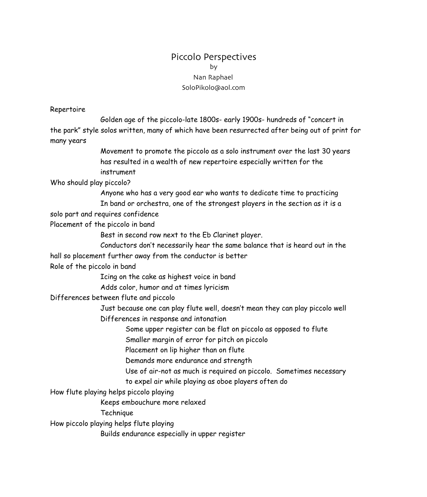# Piccolo Perspectives by Nan Raphael SoloPikolo@aol.com

#### Repertoire

 Golden age of the piccolo-late 1800s- early 1900s- hundreds of "concert in the park" style solos written, many of which have been resurrected after being out of print for many years

> Movement to promote the piccolo as a solo instrument over the last 30 years has resulted in a wealth of new repertoire especially written for the instrument

Who should play piccolo?

 Anyone who has a very good ear who wants to dedicate time to practicing In band or orchestra, one of the strongest players in the section as it is a

solo part and requires confidence

Placement of the piccolo in band

Best in second row next to the Eb Clarinet player.

 Conductors don't necessarily hear the same balance that is heard out in the hall so placement further away from the conductor is better

Role of the piccolo in band

Icing on the cake as highest voice in band

Adds color, humor and at times lyricism

Differences between flute and piccolo

 Just because one can play flute well, doesn't mean they can play piccolo well Differences in response and intonation

Some upper register can be flat on piccolo as opposed to flute

Smaller margin of error for pitch on piccolo

Placement on lip higher than on flute

Demands more endurance and strength

Use of air-not as much is required on piccolo. Sometimes necessary

to expel air while playing as oboe players often do

How flute playing helps piccolo playing

Keeps embouchure more relaxed

Technique

How piccolo playing helps flute playing

Builds endurance especially in upper register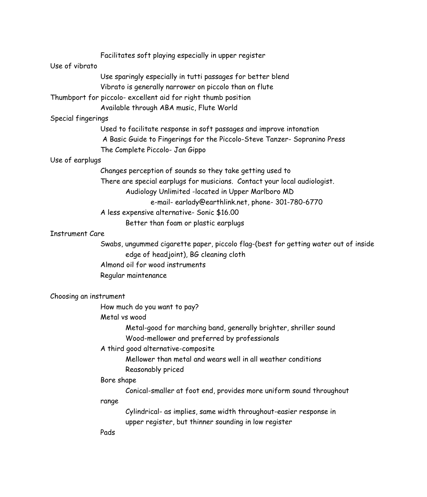|                        | Facilitates soft playing especially in upper register                                                            |
|------------------------|------------------------------------------------------------------------------------------------------------------|
| Use of vibrato         |                                                                                                                  |
|                        | Use sparingly especially in tutti passages for better blend                                                      |
|                        | Vibrato is generally narrower on piccolo than on flute                                                           |
|                        | Thumbport for piccolo- excellent aid for right thumb position                                                    |
|                        | Available through ABA music, Flute World                                                                         |
| Special fingerings     |                                                                                                                  |
|                        | Used to facilitate response in soft passages and improve intonation                                              |
|                        | A Basic Guide to Fingerings for the Piccolo-Steve Tanzer- Sopranino Press                                        |
|                        | The Complete Piccolo- Jan Gippo                                                                                  |
| Use of earplugs        |                                                                                                                  |
|                        | Changes perception of sounds so they take getting used to                                                        |
|                        | There are special earplugs for musicians. Contact your local audiologist.                                        |
|                        | Audiology Unlimited -located in Upper Marlboro MD                                                                |
|                        | e-mail-earlady@earthlink.net, phone-301-780-6770                                                                 |
|                        | A less expensive alternative- Sonic \$16.00                                                                      |
|                        | Better than foam or plastic earplugs                                                                             |
| <b>Instrument Care</b> |                                                                                                                  |
|                        | Swabs, ungummed cigarette paper, piccolo flag-(best for getting water out of inside                              |
|                        | edge of headjoint), BG cleaning cloth                                                                            |
|                        | Almond oil for wood instruments                                                                                  |
|                        | Regular maintenance                                                                                              |
| Choosing an instrument |                                                                                                                  |
|                        | How much do you want to pay?                                                                                     |
|                        | Metal vs wood                                                                                                    |
|                        |                                                                                                                  |
|                        | Metal-good for marching band, generally brighter, shriller sound<br>Wood-mellower and preferred by professionals |
|                        |                                                                                                                  |
|                        | A third good alternative-composite                                                                               |
|                        | Mellower than metal and wears well in all weather conditions<br>Reasonably priced                                |
|                        | Bore shape                                                                                                       |
|                        | Conical-smaller at foot end, provides more uniform sound throughout                                              |
|                        | range                                                                                                            |
|                        | Cylindrical- as implies, same width throughout-easier response in                                                |
|                        | upper register, but thinner sounding in low register                                                             |
|                        | Pads                                                                                                             |
|                        |                                                                                                                  |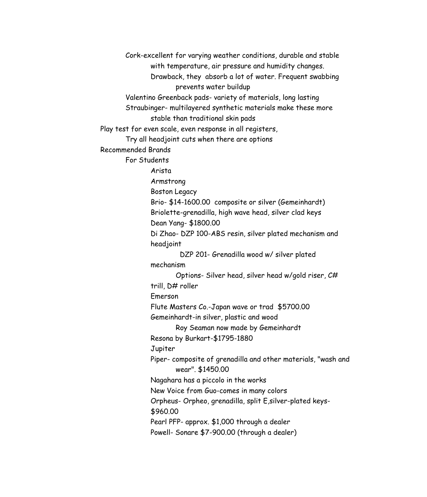Cork-excellent for varying weather conditions, durable and stable with temperature, air pressure and humidity changes. Drawback, they absorb a lot of water. Frequent swabbing prevents water buildup Valentino Greenback pads- variety of materials, long lasting Straubinger- multilayered synthetic materials make these more stable than traditional skin pads Play test for even scale, even response in all registers, Try all headjoint cuts when there are options Recommended Brands For Students Arista Armstrong Boston Legacy Brio- \$14-1600.00 composite or silver (Gemeinhardt) Briolette-grenadilla, high wave head, silver clad keys Dean Yang- \$1800.00 Di Zhao- DZP 100-ABS resin, silver plated mechanism and headjoint DZP 201- Grenadilla wood w/ silver plated mechanism Options- Silver head, silver head w/gold riser, C# trill, D# roller Emerson Flute Masters Co.-Japan wave or trad \$5700.00 Gemeinhardt-in silver, plastic and wood Roy Seaman now made by Gemeinhardt Resona by Burkart-\$1795-1880 Jupiter Piper- composite of grenadilla and other materials, "wash and wear". \$1450.00 Nagahara has a piccolo in the works New Voice from Guo-comes in many colors Orpheus- Orpheo, grenadilla, split E,silver-plated keys- \$960.00 Pearl PFP- approx. \$1,000 through a dealer Powell- Sonare \$7-900.00 (through a dealer)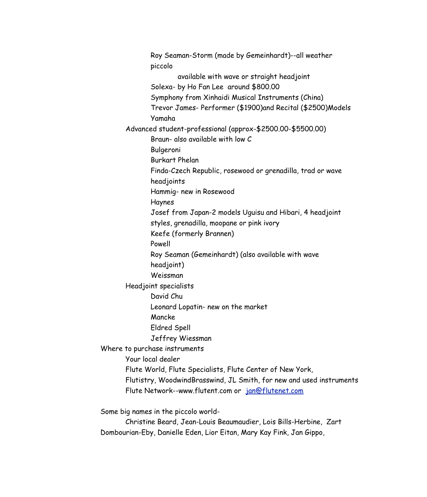Roy Seaman-Storm (made by Gemeinhardt)--all weather piccolo available with wave or straight headjoint Solexa- by Ho Fan Lee around \$800.00 Symphony from Xinhaidi Musical Instruments (China) Trevor James- Performer (\$1900)and Recital (\$2500)Models Yamaha Advanced student-professional (approx-\$2500.00-\$5500.00) Braun- also available with low C Bulgeroni Burkart Phelan Finda-Czech Republic, rosewood or grenadilla, trad or wave headjoints Hammig- new in Rosewood Haynes Josef from Japan-2 models Uguisu and Hibari, 4 headjoint styles, grenadilla, moopane or pink ivory Keefe (formerly Brannen) Powell Roy Seaman (Gemeinhardt) (also available with wave headjoint) Weissman Headjoint specialists David Chu Leonard Lopatin- new on the market Mancke Eldred Spell Jeffrey Wiessman Where to purchase instruments Your local dealer Flute World, Flute Specialists, Flute Center of New York, Flutistry, WoodwindBrasswind, JL Smith, for new and used instruments Flute Network--www.flutent.com or jan@flutenet.com Some big names in the piccolo world- Christine Beard, Jean-Louis Beaumaudier, Lois Bills-Herbine, Zart Dombourian-Eby, Danielle Eden, Lior Eitan, Mary Kay Fink, Jan Gippo,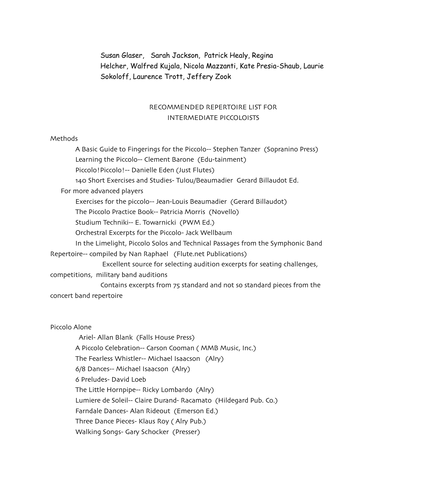Susan Glaser, Sarah Jackson, Patrick Healy, Regina Helcher, Walfred Kujala, Nicola Mazzanti, Kate Presia-Shaub, Laurie Sokoloff, Laurence Trott, Jeffery Zook

# RECOMMENDED REPERTOIRE LIST FOR INTERMEDIATE PICCOLOISTS

### Methods

A Basic Guide to Fingerings for the Piccolo-- Stephen Tanzer (Sopranino Press) Learning the Piccolo-- Clement Barone (Edu-tainment) Piccolo!Piccolo!-- Danielle Eden (Just Flutes) 140 Short Exercises and Studies- Tulou/Beaumadier Gerard Billaudot Ed. For more advanced players Exercises for the piccolo-- Jean-Louis Beaumadier (Gerard Billaudot) The Piccolo Practice Book-- Patricia Morris (Novello) Studium Techniki-- E. Towarnicki (PWM Ed.) Orchestral Excerpts for the Piccolo- Jack Wellbaum In the Limelight, Piccolo Solos and Technical Passages from the Symphonic Band Repertoire-- compiled by Nan Raphael (Flute.net Publications) Excellent source for selecting audition excerpts for seating challenges, competitions, military band auditions Contains excerpts from 75 standard and not so standard pieces from the

concert band repertoire

Piccolo Alone

 Ariel- Allan Blank (Falls House Press) A Piccolo Celebration-- Carson Cooman ( MMB Music, Inc.) The Fearless Whistler-- Michael Isaacson (Alry) 6/8 Dances-- Michael Isaacson (Alry) 6 Preludes- David Loeb The Little Hornpipe-- Ricky Lombardo (Alry) Lumiere de Soleil-- Claire Durand- Racamato (Hildegard Pub. Co.) Farndale Dances- Alan Rideout (Emerson Ed.) Three Dance Pieces- Klaus Roy ( Alry Pub.) Walking Songs- Gary Schocker (Presser)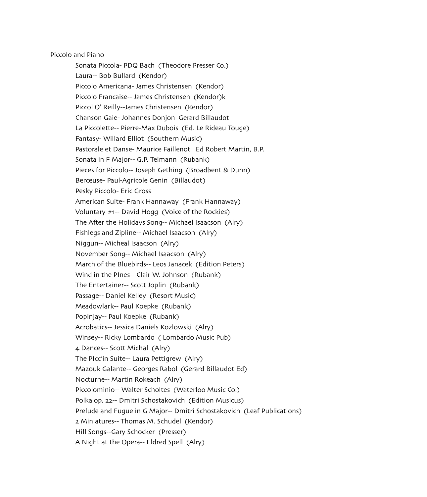Piccolo and Piano

Sonata Piccola- PDQ Bach (Theodore Presser Co.) Laura-- Bob Bullard (Kendor) Piccolo Americana- James Christensen (Kendor) Piccolo Francaise-- James Christensen (Kendor)k Piccol O' Reilly--James Christensen (Kendor) Chanson Gaie- Johannes Donjon Gerard Billaudot La Piccolette-- Pierre-Max Dubois (Ed. Le Rideau Touge) Fantasy- Willard Elliot (Southern Music) Pastorale et Danse- Maurice Faillenot Ed Robert Martin, B.P. Sonata in F Major-- G.P. Telmann (Rubank) Pieces for Piccolo-- Joseph Gething (Broadbent & Dunn) Berceuse- Paul-Agricole Genin (Billaudot) Pesky Piccolo- Eric Gross American Suite- Frank Hannaway (Frank Hannaway) Voluntary #1-- David Hogg (Voice of the Rockies) The After the Holidays Song-- Michael Isaacson (Alry) Fishlegs and Zipline-- Michael Isaacson (Alry) Niggun-- Micheal Isaacson (Alry) November Song-- Michael Isaacson (Alry) March of the Bluebirds-- Leos Janacek (Edition Peters) Wind in the PInes-- Clair W. Johnson (Rubank) The Entertainer-- Scott Joplin (Rubank) Passage-- Daniel Kelley (Resort Music) Meadowlark-- Paul Koepke (Rubank) Popinjay-- Paul Koepke (Rubank) Acrobatics-- Jessica Daniels Kozlowski (Alry) Winsey-- Ricky Lombardo ( Lombardo Music Pub) 4 Dances-- Scott Michal (Alry) The PIcc'in Suite-- Laura Pettigrew (Alry) Mazouk Galante-- Georges Rabol (Gerard Billaudot Ed) Nocturne-- Martin Rokeach (Alry) Piccolominio-- Walter Scholtes (Waterloo Music Co.) Polka op. 22-- Dmitri Schostakovich (Edition Musicus) Prelude and Fugue in G Major-- Dmitri Schostakovich (Leaf Publications) 2 Miniatures-- Thomas M. Schudel (Kendor) Hill Songs--Gary Schocker (Presser) A Night at the Opera-- Eldred Spell (Alry)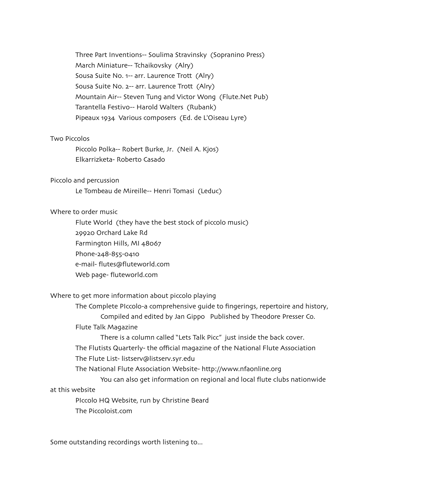Three Part Inventions-- Soulima Stravinsky (Sopranino Press) March Miniature-- Tchaikovsky (Alry) Sousa Suite No. 1-- arr. Laurence Trott (Alry) Sousa Suite No. 2-- arr. Laurence Trott (Alry) Mountain Air-- Steven Tung and Victor Wong (Flute.Net Pub) Tarantella Festivo-- Harold Walters (Rubank) Pipeaux 1934 Various composers (Ed. de L'Oiseau Lyre)

## Two Piccolos

Piccolo Polka-- Robert Burke, Jr. (Neil A. Kjos) Elkarrizketa- Roberto Casado

#### Piccolo and percussion

Le Tombeau de Mireille-- Henri Tomasi (Leduc)

#### Where to order music

Flute World (they have the best stock of piccolo music) 29920 Orchard Lake Rd Farmington Hills, MI 48067 Phone-248-855-0410 e-mail- flutes@fluteworld.com Web page- fluteworld.com

## Where to get more information about piccolo playing

The Complete PIccolo-a comprehensive guide to fingerings, repertoire and history, Compiled and edited by Jan Gippo Published by Theodore Presser Co. Flute Talk Magazine

There is a column called "Lets Talk Picc" just inside the back cover.

The Flutists Quarterly- the official magazine of the National Flute Association

The Flute List- listserv@listserv.syr.edu

The National Flute Association Website- http://www.nfaonline.org

You can also get information on regional and local flute clubs nationwide

#### at this website

PIccolo HQ Website, run by Christine Beard The Piccoloist.com

Some outstanding recordings worth listening to...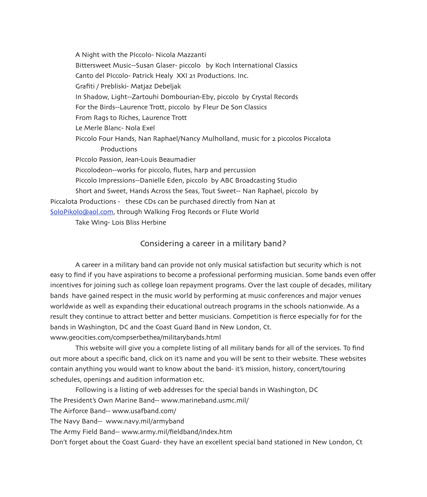A Night with the PIccolo- Nicola Mazzanti Bittersweet Music--Susan Glaser- piccolo by Koch International Classics Canto del PIccolo- Patrick Healy XXI 21 Productions. Inc. Grafiti / Prebliski- Matjaz Debeljak In Shadow, Light--Zartouhi Dombourian-Eby, piccolo by Crystal Records For the Birds--Laurence Trott, piccolo by Fleur De Son Classics From Rags to Riches, Laurence Trott Le Merle Blanc- Nola Exel Piccolo Four Hands, Nan Raphael/Nancy Mulholland, music for 2 piccolos Piccalota Productions PIccolo Passion, Jean-Louis Beaumadier Piccolodeon--works for piccolo, flutes, harp and percussion Piccolo Impressions--Danielle Eden, piccolo by ABC Broadcasting Studio Short and Sweet, Hands Across the Seas, Tout Sweet-- Nan Raphael, piccolo by Piccalota Productions - these CDs can be purchased directly from Nan at SoloPikolo@aol.com, through Walking Frog Records or Flute World Take Wing- Lois Bliss Herbine

# Considering a career in a military band?

A career in a military band can provide not only musical satisfaction but security which is not easy to find if you have aspirations to become a professional performing musician. Some bands even offer incentives for joining such as college loan repayment programs. Over the last couple of decades, military bands have gained respect in the music world by performing at music conferences and major venues worldwide as well as expanding their educational outreach programs in the schools nationwide. As a result they continue to attract better and better musicians. Competition is fierce especially for for the bands in Washington, DC and the Coast Guard Band in New London, Ct. www.geocities.com/compserbethea/militarybands.html

This website will give you a complete listing of all military bands for all of the services. To find out more about a specific band, click on it's name and you will be sent to their website. These websites contain anything you would want to know about the band- it's mission, history, concert/touring schedules, openings and audition information etc.

Following is a listing of web addresses for the special bands in Washington, DC The President's Own Marine Band-- www.marineband.usmc.mil/ The Airforce Band-- www.usafband.com/ The Navy Band-- www.navy.mil/armyband The Army Field Band-- www.army.mil/fieldband/index.htm Don't forget about the Coast Guard- they have an excellent special band stationed in New London, Ct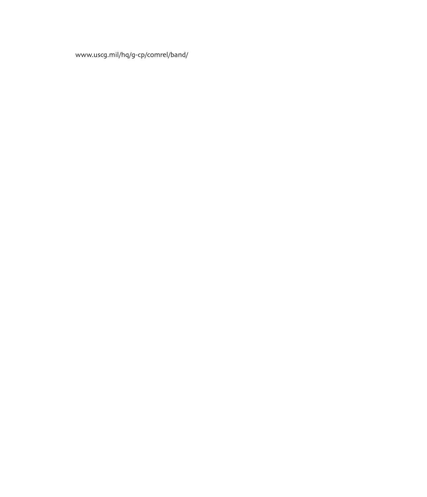www.uscg.mil/hq/g-cp/comrel/band/